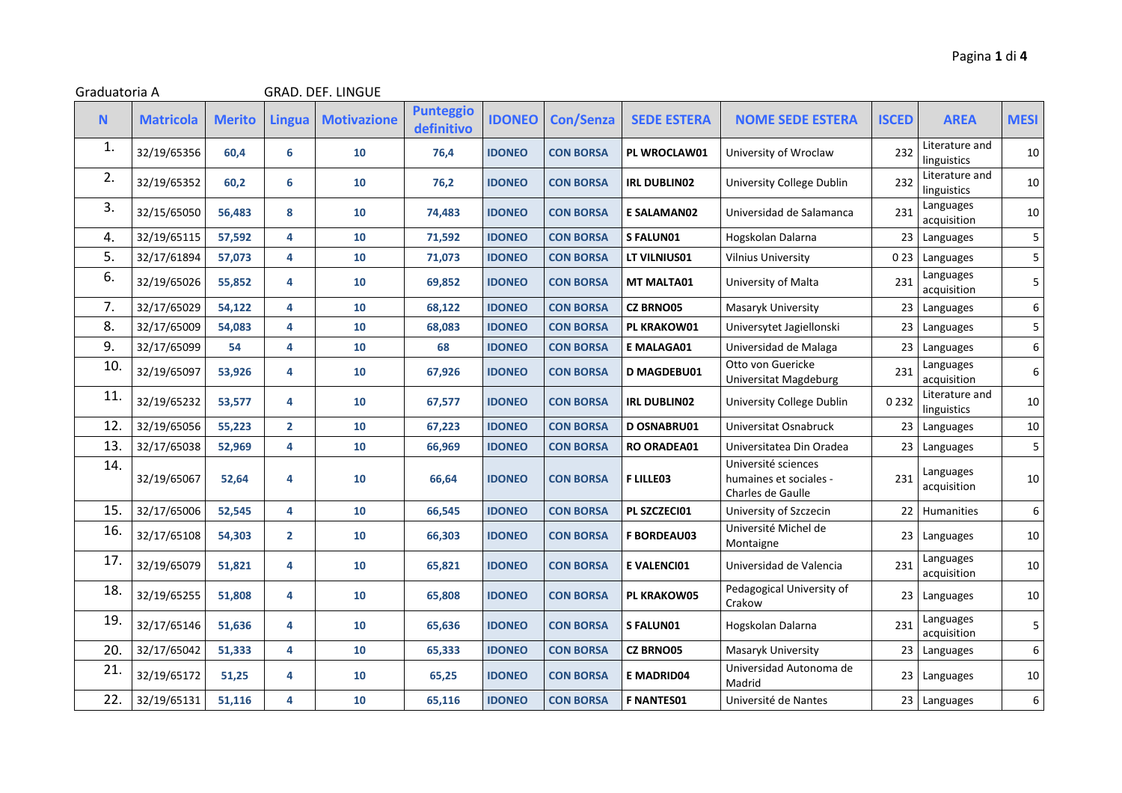| Graduatoria A |                  |               |                | <b>GRAD. DEF. LINGUE</b> |                                |               |                  |                     |                                                                    |              |                               |                  |
|---------------|------------------|---------------|----------------|--------------------------|--------------------------------|---------------|------------------|---------------------|--------------------------------------------------------------------|--------------|-------------------------------|------------------|
| $\mathbf N$   | <b>Matricola</b> | <b>Merito</b> | <b>Lingua</b>  | <b>Motivazione</b>       | <b>Punteggio</b><br>definitivo | <b>IDONEO</b> | <b>Con/Senza</b> | <b>SEDE ESTERA</b>  | <b>NOME SEDE ESTERA</b>                                            | <b>ISCED</b> | <b>AREA</b>                   | <b>MESI</b>      |
| 1.            | 32/19/65356      | 60,4          | 6              | 10                       | 76,4                           | <b>IDONEO</b> | <b>CON BORSA</b> | PL WROCLAW01        | University of Wroclaw                                              | 232          | Literature and<br>linguistics | 10               |
| 2.            | 32/19/65352      | 60,2          | 6              | 10                       | 76,2                           | <b>IDONEO</b> | <b>CON BORSA</b> | <b>IRL DUBLIN02</b> | University College Dublin                                          | 232          | Literature and<br>linguistics | 10               |
| 3.            | 32/15/65050      | 56,483        | 8              | 10                       | 74,483                         | <b>IDONEO</b> | <b>CON BORSA</b> | E SALAMAN02         | Universidad de Salamanca                                           | 231          | Languages<br>acquisition      | 10               |
| 4.            | 32/19/65115      | 57,592        | 4              | 10                       | 71,592                         | <b>IDONEO</b> | <b>CON BORSA</b> | <b>SFALUN01</b>     | Hogskolan Dalarna                                                  | 23           | Languages                     | 5                |
| 5.            | 32/17/61894      | 57,073        | 4              | 10                       | 71,073                         | <b>IDONEO</b> | <b>CON BORSA</b> | LT VILNIUS01        | <b>Vilnius University</b>                                          | 023          | Languages                     | 5                |
| 6.            | 32/19/65026      | 55,852        | 4              | 10                       | 69,852                         | <b>IDONEO</b> | <b>CON BORSA</b> | <b>MT MALTA01</b>   | University of Malta                                                | 231          | Languages<br>acquisition      | 5                |
| 7.            | 32/17/65029      | 54,122        | 4              | 10                       | 68,122                         | <b>IDONEO</b> | <b>CON BORSA</b> | <b>CZ BRNO05</b>    | Masaryk University                                                 | 23           | Languages                     | $\boldsymbol{6}$ |
| 8.            | 32/17/65009      | 54,083        | 4              | 10                       | 68,083                         | <b>IDONEO</b> | <b>CON BORSA</b> | <b>PL KRAKOW01</b>  | Universytet Jagiellonski                                           | 23           | Languages                     | 5                |
| 9.            | 32/17/65099      | 54            | 4              | 10                       | 68                             | <b>IDONEO</b> | <b>CON BORSA</b> | E MALAGA01          | Universidad de Malaga                                              | 23           | Languages                     | $\boldsymbol{6}$ |
| 10.           | 32/19/65097      | 53,926        | 4              | 10                       | 67,926                         | <b>IDONEO</b> | <b>CON BORSA</b> | <b>D MAGDEBU01</b>  | Otto von Guericke<br>Universitat Magdeburg                         | 231          | Languages<br>acquisition      | $\boldsymbol{6}$ |
| 11.           | 32/19/65232      | 53,577        | 4              | 10                       | 67,577                         | <b>IDONEO</b> | <b>CON BORSA</b> | <b>IRL DUBLIN02</b> | University College Dublin                                          | 0232         | Literature and<br>linguistics | 10               |
| 12.           | 32/19/65056      | 55,223        | $\overline{2}$ | 10                       | 67,223                         | <b>IDONEO</b> | <b>CON BORSA</b> | <b>D OSNABRU01</b>  | Universitat Osnabruck                                              | 23           | Languages                     | 10               |
| 13.           | 32/17/65038      | 52,969        | 4              | 10                       | 66,969                         | <b>IDONEO</b> | <b>CON BORSA</b> | <b>RO ORADEA01</b>  | Universitatea Din Oradea                                           | 23           | Languages                     | $\overline{5}$   |
| 14.           | 32/19/65067      | 52,64         | 4              | 10                       | 66,64                          | <b>IDONEO</b> | <b>CON BORSA</b> | <b>FLILLE03</b>     | Université sciences<br>humaines et sociales -<br>Charles de Gaulle | 231          | Languages<br>acquisition      | 10               |
| 15.           | 32/17/65006      | 52,545        | 4              | 10                       | 66,545                         | <b>IDONEO</b> | <b>CON BORSA</b> | PL SZCZECI01        | University of Szczecin                                             | 22           | Humanities                    | $\boldsymbol{6}$ |
| 16.           | 32/17/65108      | 54,303        | $\mathbf{2}$   | 10                       | 66,303                         | <b>IDONEO</b> | <b>CON BORSA</b> | <b>F BORDEAU03</b>  | Université Michel de<br>Montaigne                                  | 23           | Languages                     | 10               |
| 17.           | 32/19/65079      | 51,821        | 4              | 10                       | 65,821                         | <b>IDONEO</b> | <b>CON BORSA</b> | E VALENCI01         | Universidad de Valencia                                            | 231          | Languages<br>acquisition      | 10               |
| 18.           | 32/19/65255      | 51,808        | 4              | 10                       | 65,808                         | <b>IDONEO</b> | <b>CON BORSA</b> | PL KRAKOW05         | Pedagogical University of<br>Crakow                                | 23           | Languages                     | 10               |
| 19.           | 32/17/65146      | 51,636        | 4              | 10                       | 65,636                         | <b>IDONEO</b> | <b>CON BORSA</b> | S FALUNO1           | Hogskolan Dalarna                                                  | 231          | Languages<br>acquisition      | 5                |
| 20.           | 32/17/65042      | 51,333        | 4              | 10                       | 65,333                         | <b>IDONEO</b> | <b>CON BORSA</b> | <b>CZ BRNO05</b>    | Masaryk University                                                 | 23           | Languages                     | 6                |
| 21.           | 32/19/65172      | 51,25         | 4              | 10                       | 65,25                          | <b>IDONEO</b> | <b>CON BORSA</b> | <b>E MADRID04</b>   | Universidad Autonoma de<br>Madrid                                  | 23           | Languages                     | 10               |
| 22.           | 32/19/65131      | 51,116        | 4              | 10                       | 65,116                         | <b>IDONEO</b> | <b>CON BORSA</b> | <b>F NANTES01</b>   | Université de Nantes                                               | 23           | Languages                     | $\boldsymbol{6}$ |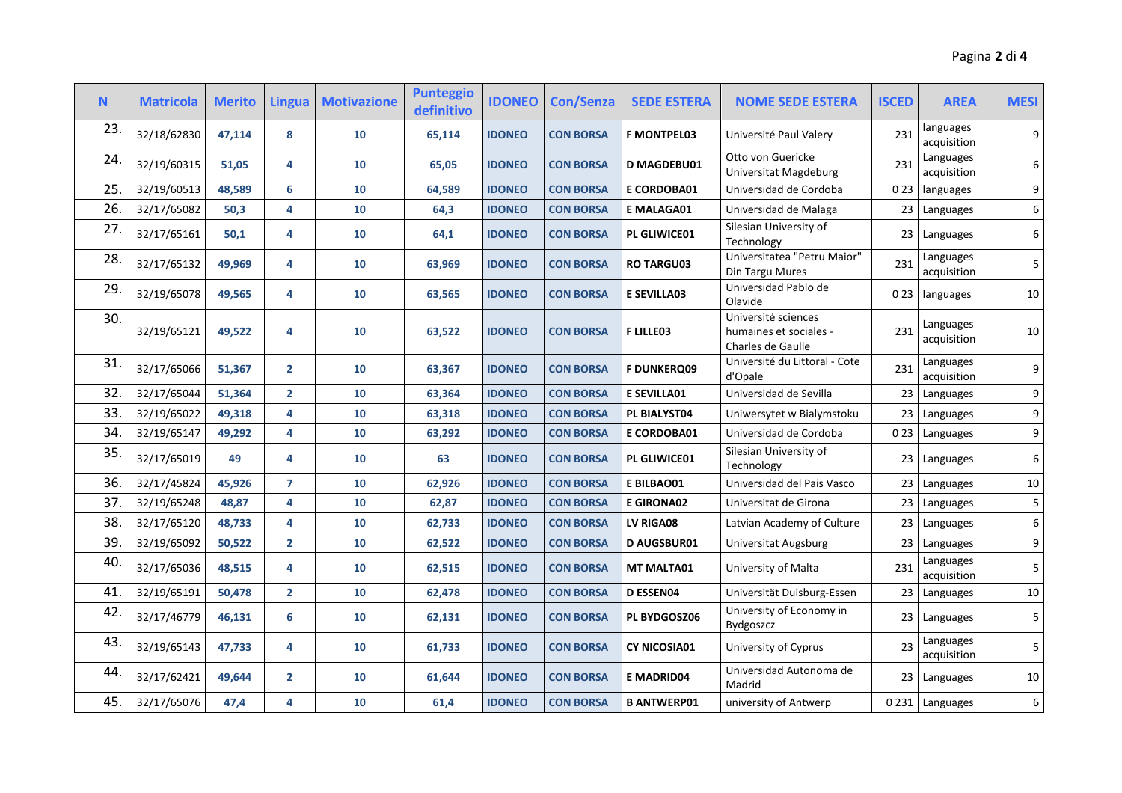| N.  | <b>Matricola</b> | <b>Merito</b> | <b>Lingua</b>  | <b>Motivazione</b> | <b>Punteggio</b><br>definitivo | <b>IDONEO</b> | <b>Con/Senza</b> | <b>SEDE ESTERA</b> | <b>NOME SEDE ESTERA</b>                                            | <b>ISCED</b>    | <b>AREA</b>              | <b>MESI</b> |
|-----|------------------|---------------|----------------|--------------------|--------------------------------|---------------|------------------|--------------------|--------------------------------------------------------------------|-----------------|--------------------------|-------------|
| 23. | 32/18/62830      | 47,114        | 8              | 10                 | 65,114                         | <b>IDONEO</b> | <b>CON BORSA</b> | <b>F MONTPEL03</b> | Université Paul Valery                                             | 231             | languages<br>acquisition | 9           |
| 24. | 32/19/60315      | 51,05         | 4              | 10                 | 65,05                          | <b>IDONEO</b> | <b>CON BORSA</b> | <b>D MAGDEBU01</b> | Otto von Guericke<br>Universitat Magdeburg                         | 231             | Languages<br>acquisition | 6           |
| 25. | 32/19/60513      | 48,589        | 6              | 10                 | 64,589                         | <b>IDONEO</b> | <b>CON BORSA</b> | <b>E CORDOBA01</b> | Universidad de Cordoba                                             | 023             | languages                | 9           |
| 26. | 32/17/65082      | 50,3          | 4              | 10                 | 64,3                           | <b>IDONEO</b> | <b>CON BORSA</b> | <b>E MALAGA01</b>  | Universidad de Malaga                                              | 23              | Languages                | 6           |
| 27. | 32/17/65161      | 50,1          | 4              | 10                 | 64,1                           | <b>IDONEO</b> | <b>CON BORSA</b> | PL GLIWICE01       | Silesian University of<br>Technology                               | 23 <sub>1</sub> | Languages                | 6           |
| 28. | 32/17/65132      | 49,969        | 4              | 10                 | 63,969                         | <b>IDONEO</b> | <b>CON BORSA</b> | <b>RO TARGU03</b>  | Universitatea "Petru Maior"<br>Din Targu Mures                     | 231             | Languages<br>acquisition | 5           |
| 29. | 32/19/65078      | 49,565        | 4              | 10                 | 63,565                         | <b>IDONEO</b> | <b>CON BORSA</b> | <b>E SEVILLA03</b> | Universidad Pablo de<br>Olavide                                    | 0 2 3           | languages                | $10\,$      |
| 30. | 32/19/65121      | 49,522        | 4              | 10                 | 63,522                         | <b>IDONEO</b> | <b>CON BORSA</b> | <b>FLILLEO3</b>    | Université sciences<br>humaines et sociales -<br>Charles de Gaulle | 231             | Languages<br>acquisition | 10          |
| 31. | 32/17/65066      | 51,367        | $\overline{2}$ | 10                 | 63,367                         | <b>IDONEO</b> | <b>CON BORSA</b> | <b>F DUNKERQ09</b> | Université du Littoral - Cote<br>d'Opale                           | 231             | Languages<br>acquisition | 9           |
| 32. | 32/17/65044      | 51,364        | $\overline{2}$ | 10                 | 63,364                         | <b>IDONEO</b> | <b>CON BORSA</b> | <b>E SEVILLA01</b> | Universidad de Sevilla                                             | 23              | Languages                | 9           |
| 33. | 32/19/65022      | 49,318        | 4              | 10                 | 63,318                         | <b>IDONEO</b> | <b>CON BORSA</b> | PL BIALYST04       | Uniwersytet w Bialymstoku                                          | 23              | Languages                | 9           |
| 34. | 32/19/65147      | 49,292        | 4              | 10                 | 63,292                         | <b>IDONEO</b> | <b>CON BORSA</b> | E CORDOBA01        | Universidad de Cordoba                                             | 023             | Languages                | 9           |
| 35. | 32/17/65019      | 49            | 4              | 10                 | 63                             | <b>IDONEO</b> | <b>CON BORSA</b> | PL GLIWICE01       | Silesian University of<br>Technology                               | 23              | Languages                | 6           |
| 36. | 32/17/45824      | 45,926        | $\overline{7}$ | 10                 | 62,926                         | <b>IDONEO</b> | <b>CON BORSA</b> | E BILBAO01         | Universidad del Pais Vasco                                         | 23              | Languages                | $10\,$      |
| 37. | 32/19/65248      | 48,87         | 4              | 10                 | 62,87                          | <b>IDONEO</b> | <b>CON BORSA</b> | <b>E GIRONA02</b>  | Universitat de Girona                                              | 23              | Languages                | 5           |
| 38. | 32/17/65120      | 48,733        | 4              | 10                 | 62,733                         | <b>IDONEO</b> | <b>CON BORSA</b> | LV RIGA08          | Latvian Academy of Culture                                         | 23              | Languages                | 6           |
| 39. | 32/19/65092      | 50,522        | $\overline{2}$ | 10                 | 62,522                         | <b>IDONEO</b> | <b>CON BORSA</b> | <b>D AUGSBUR01</b> | Universitat Augsburg                                               | 23              | Languages                | 9           |
| 40. | 32/17/65036      | 48,515        | 4              | 10                 | 62,515                         | <b>IDONEO</b> | <b>CON BORSA</b> | <b>MT MALTA01</b>  | University of Malta                                                | 231             | Languages<br>acquisition | 5           |
| 41. | 32/19/65191      | 50,478        | $\overline{2}$ | 10                 | 62,478                         | <b>IDONEO</b> | <b>CON BORSA</b> | D ESSEN04          | Universität Duisburg-Essen                                         | 23              | Languages                | 10          |
| 42. | 32/17/46779      | 46,131        | 6              | 10                 | 62,131                         | <b>IDONEO</b> | <b>CON BORSA</b> | PL BYDGOSZ06       | University of Economy in<br><b>Bydgoszcz</b>                       | 23              | Languages                | 5           |
| 43. | 32/19/65143      | 47,733        | 4              | 10                 | 61,733                         | <b>IDONEO</b> | <b>CON BORSA</b> | CY NICOSIA01       | University of Cyprus                                               | 23              | Languages<br>acquisition | 5           |
| 44. | 32/17/62421      | 49,644        | $\overline{2}$ | 10                 | 61,644                         | <b>IDONEO</b> | <b>CON BORSA</b> | <b>E MADRID04</b>  | Universidad Autonoma de<br>Madrid                                  |                 | 23 Languages             | 10          |
| 45. | 32/17/65076      | 47,4          | 4              | 10                 | 61,4                           | <b>IDONEO</b> | <b>CON BORSA</b> | <b>B ANTWERP01</b> | university of Antwerp                                              |                 | 0231 Languages           | 6           |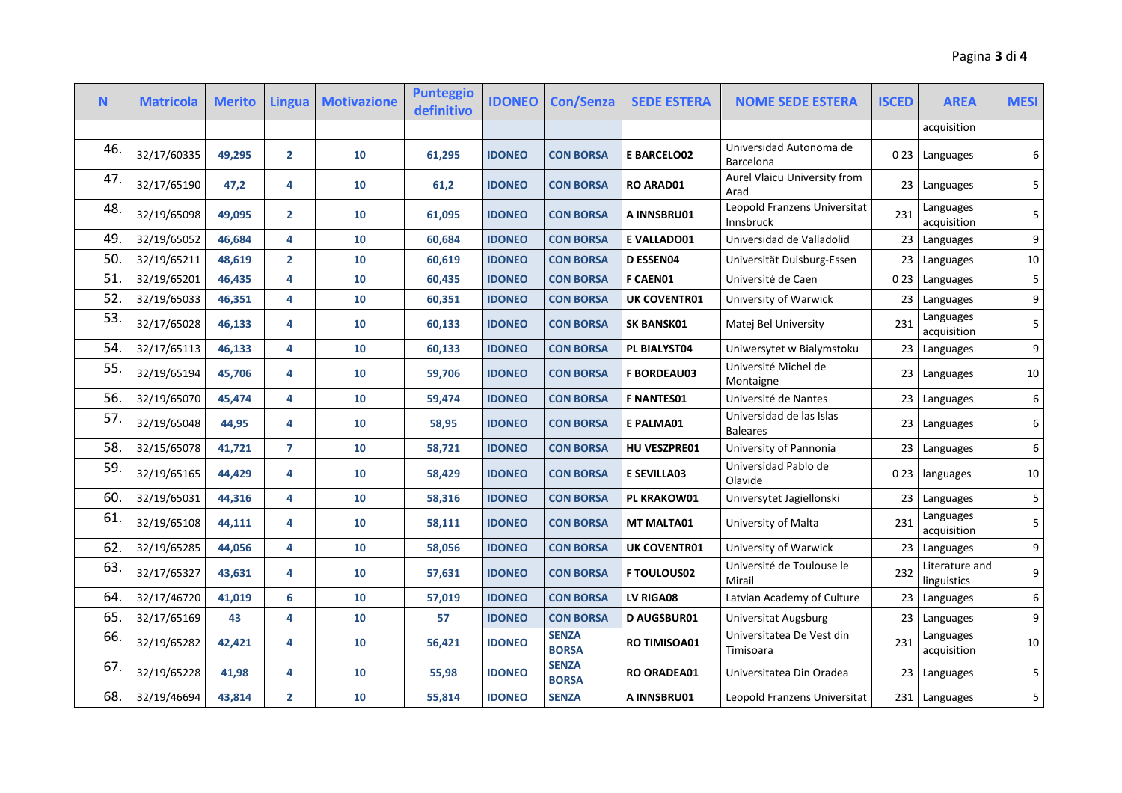| N.  | <b>Matricola</b> | <b>Merito</b> | <b>Lingua</b>  | <b>Motivazione</b> | <b>Punteggio</b><br>definitivo | <b>IDONEO</b> | <b>Con/Senza</b>             | <b>SEDE ESTERA</b>  | <b>NOME SEDE ESTERA</b>                     | <b>ISCED</b>    | <b>AREA</b>                   | <b>MESI</b> |
|-----|------------------|---------------|----------------|--------------------|--------------------------------|---------------|------------------------------|---------------------|---------------------------------------------|-----------------|-------------------------------|-------------|
|     |                  |               |                |                    |                                |               |                              |                     |                                             |                 | acquisition                   |             |
| 46. | 32/17/60335      | 49,295        | $\overline{2}$ | 10                 | 61,295                         | <b>IDONEO</b> | <b>CON BORSA</b>             | <b>E BARCELO02</b>  | Universidad Autonoma de<br>Barcelona        |                 | 023 Languages                 | 6           |
| 47. | 32/17/65190      | 47,2          | 4              | 10                 | 61,2                           | <b>IDONEO</b> | <b>CON BORSA</b>             | <b>RO ARAD01</b>    | Aurel Vlaicu University from<br>Arad        | 23 I            | Languages                     | 5           |
| 48. | 32/19/65098      | 49,095        | $\overline{2}$ | 10                 | 61,095                         | <b>IDONEO</b> | <b>CON BORSA</b>             | A INNSBRU01         | Leopold Franzens Universitat<br>Innsbruck   | 231             | Languages<br>acquisition      | 5           |
| 49. | 32/19/65052      | 46,684        | 4              | 10                 | 60,684                         | <b>IDONEO</b> | <b>CON BORSA</b>             | <b>E VALLADO01</b>  | Universidad de Valladolid                   | 23 <sub>1</sub> | Languages                     | 9           |
| 50. | 32/19/65211      | 48,619        | $\overline{2}$ | 10                 | 60,619                         | <b>IDONEO</b> | <b>CON BORSA</b>             | <b>D ESSEN04</b>    | Universität Duisburg-Essen                  | 23              | Languages                     | $10\,$      |
| 51. | 32/19/65201      | 46,435        | 4              | 10                 | 60,435                         | <b>IDONEO</b> | <b>CON BORSA</b>             | <b>F CAEN01</b>     | Université de Caen                          | 023             | Languages                     | 5           |
| 52. | 32/19/65033      | 46,351        | 4              | 10                 | 60,351                         | <b>IDONEO</b> | <b>CON BORSA</b>             | <b>UK COVENTR01</b> | University of Warwick                       | 23              | Languages                     | 9           |
| 53. | 32/17/65028      | 46,133        | 4              | 10                 | 60,133                         | <b>IDONEO</b> | <b>CON BORSA</b>             | <b>SK BANSK01</b>   | Matej Bel University                        | 231             | Languages<br>acquisition      | 5           |
| 54. | 32/17/65113      | 46,133        | 4              | 10                 | 60,133                         | <b>IDONEO</b> | <b>CON BORSA</b>             | PL BIALYST04        | Uniwersytet w Bialymstoku                   | 23 <sub>1</sub> | Languages                     | 9           |
| 55. | 32/19/65194      | 45,706        | 4              | 10                 | 59,706                         | <b>IDONEO</b> | <b>CON BORSA</b>             | <b>F BORDEAU03</b>  | Université Michel de<br>Montaigne           | 23 <sub>1</sub> | Languages                     | 10          |
| 56. | 32/19/65070      | 45,474        | 4              | 10                 | 59,474                         | <b>IDONEO</b> | <b>CON BORSA</b>             | <b>F NANTES01</b>   | Université de Nantes                        | 23 <sub>1</sub> | Languages                     | 6           |
| 57. | 32/19/65048      | 44,95         | 4              | 10                 | 58,95                          | <b>IDONEO</b> | <b>CON BORSA</b>             | E PALMA01           | Universidad de las Islas<br><b>Baleares</b> | 23 I            | Languages                     | 6           |
| 58. | 32/15/65078      | 41,721        | $\overline{7}$ | 10                 | 58,721                         | <b>IDONEO</b> | <b>CON BORSA</b>             | <b>HU VESZPRE01</b> | University of Pannonia                      |                 | 23 Languages                  | 6           |
| 59. | 32/19/65165      | 44,429        | 4              | 10                 | 58,429                         | <b>IDONEO</b> | <b>CON BORSA</b>             | <b>E SEVILLA03</b>  | Universidad Pablo de<br>Olavide             | 023             | languages                     | 10          |
| 60. | 32/19/65031      | 44,316        | 4              | 10                 | 58,316                         | <b>IDONEO</b> | <b>CON BORSA</b>             | <b>PL KRAKOW01</b>  | Universytet Jagiellonski                    | 23 <sub>1</sub> | Languages                     | 5           |
| 61. | 32/19/65108      | 44,111        | 4              | 10                 | 58,111                         | <b>IDONEO</b> | <b>CON BORSA</b>             | MT MALTA01          | University of Malta                         | 231             | Languages<br>acquisition      | 5           |
| 62. | 32/19/65285      | 44,056        | 4              | 10                 | 58,056                         | <b>IDONEO</b> | <b>CON BORSA</b>             | <b>UK COVENTR01</b> | University of Warwick                       | 23 <sub>1</sub> | Languages                     | 9           |
| 63. | 32/17/65327      | 43,631        | 4              | 10                 | 57,631                         | <b>IDONEO</b> | <b>CON BORSA</b>             | <b>F TOULOUS02</b>  | Université de Toulouse le<br>Mirail         | 232             | Literature and<br>linguistics | 9           |
| 64. | 32/17/46720      | 41,019        | 6              | 10                 | 57,019                         | <b>IDONEO</b> | <b>CON BORSA</b>             | LV RIGA08           | Latvian Academy of Culture                  | 23 <sub>1</sub> | Languages                     | 6           |
| 65. | 32/17/65169      | 43            | 4              | 10                 | 57                             | <b>IDONEO</b> | <b>CON BORSA</b>             | <b>D AUGSBUR01</b>  | Universitat Augsburg                        | 23              | Languages                     | 9           |
| 66. | 32/19/65282      | 42,421        | 4              | 10                 | 56,421                         | <b>IDONEO</b> | <b>SENZA</b><br><b>BORSA</b> | RO TIMISOA01        | Universitatea De Vest din<br>Timisoara      | 231             | Languages<br>acquisition      | 10          |
| 67. | 32/19/65228      | 41,98         | 4              | 10                 | 55,98                          | <b>IDONEO</b> | <b>SENZA</b><br><b>BORSA</b> | <b>RO ORADEA01</b>  | Universitatea Din Oradea                    |                 | 23 Languages                  | 5           |
| 68. | 32/19/46694      | 43,814        | $\overline{2}$ | 10                 | 55,814                         | <b>IDONEO</b> | <b>SENZA</b>                 | A INNSBRU01         | Leopold Franzens Universitat                |                 | 231 Languages                 | 5           |